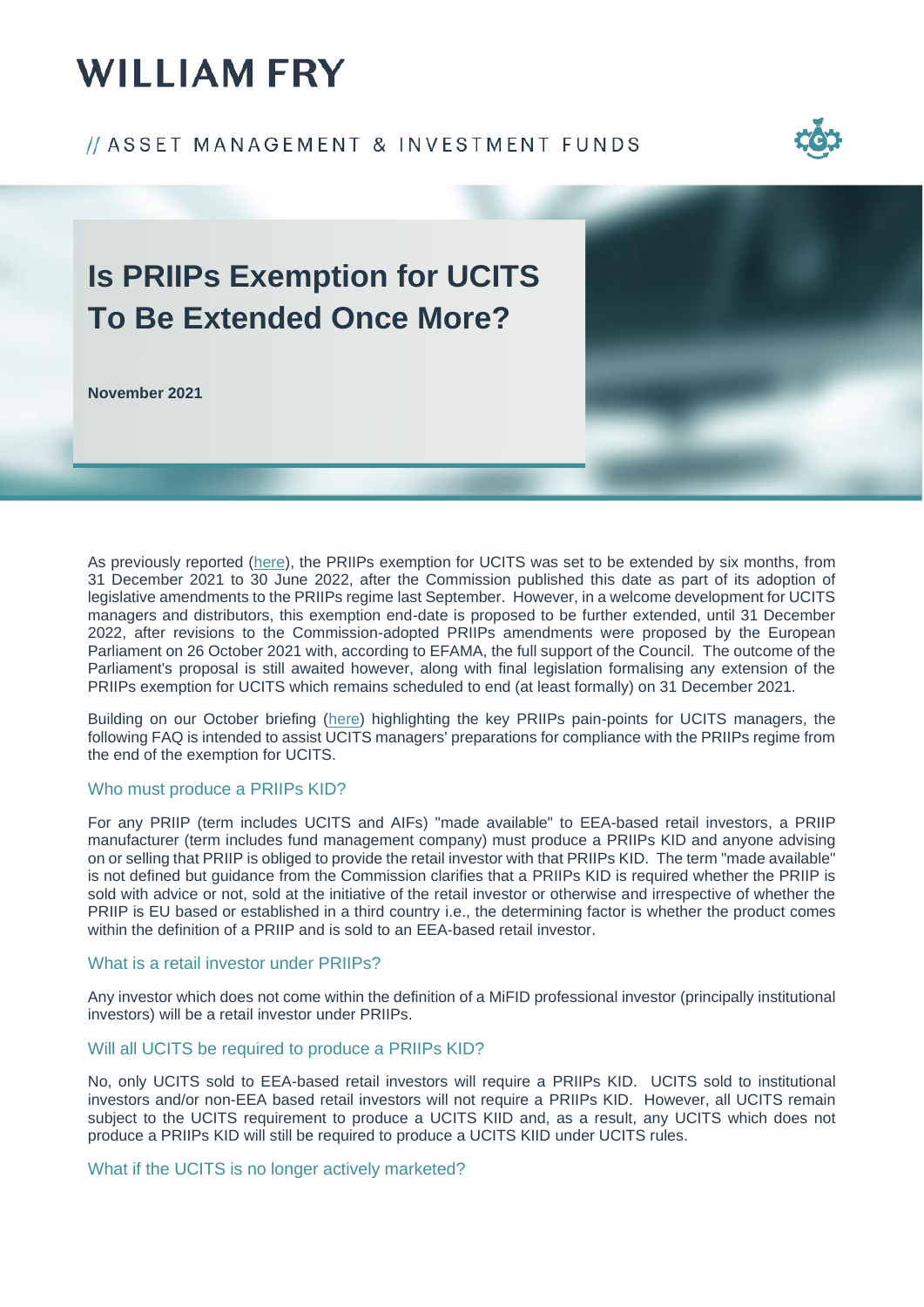# **WILLIAM FRY**

### // ASSET MANAGEMENT & INVESTMENT FUNDS



## **Is PRIIPs Exemption for UCITS To Be Extended Once More?**

**November 2021**

As previously reported [\(here\)](https://www.williamfry.com/docs/default-source/reports/priips-for-ucits.pdf?sfvrsn=a857e65f_0), the PRIIPs exemption for UCITS was set to be extended by six months, from 31 December 2021 to 30 June 2022, after the Commission published this date as part of its adoption of legislative amendments to the PRIIPs regime last September. However, in a welcome development for UCITS managers and distributors, this exemption end-date is proposed to be further extended, until 31 December 2022, after revisions to the Commission-adopted PRIIPs amendments were proposed by the European Parliament on 26 October 2021 with, according to EFAMA, the full support of the Council. The outcome of the Parliament's proposal is still awaited however, along with final legislation formalising any extension of the PRIIPs exemption for UCITS which remains scheduled to end (at least formally) on 31 December 2021.

Building on our October briefing [\(here\)](https://www.williamfry.com/docs/default-source/reports/priips-for-ucits.pdf?sfvrsn=a857e65f_0) highlighting the key PRIIPs pain-points for UCITS managers, the following FAQ is intended to assist UCITS managers' preparations for compliance with the PRIIPs regime from the end of the exemption for UCITS.

### Who must produce a PRIIPs KID?

For any PRIIP (term includes UCITS and AIFs) "made available" to EEA-based retail investors, a PRIIP manufacturer (term includes fund management company) must produce a PRIIPs KID and anyone advising on or selling that PRIIP is obliged to provide the retail investor with that PRIIPs KID. The term "made available" is not defined but guidance from the Commission clarifies that a PRIIPs KID is required whether the PRIIP is sold with advice or not, sold at the initiative of the retail investor or otherwise and irrespective of whether the PRIIP is EU based or established in a third country i.e., the determining factor is whether the product comes within the definition of a PRIIP and is sold to an FFA-based retail investor.

### What is a retail investor under PRIIPs?

Any investor which does not come within the definition of a MiFID professional investor (principally institutional investors) will be a retail investor under PRIIPs.

### Will all UCITS be required to produce a PRIIPs KID?

No, only UCITS sold to EEA-based retail investors will require a PRIIPs KID. UCITS sold to institutional investors and/or non-EEA based retail investors will not require a PRIIPs KID. However, all UCITS remain subject to the UCITS requirement to produce a UCITS KIID and, as a result, any UCITS which does not produce a PRIIPs KID will still be required to produce a UCITS KIID under UCITS rules.

### What if the UCITS is no longer actively marketed?